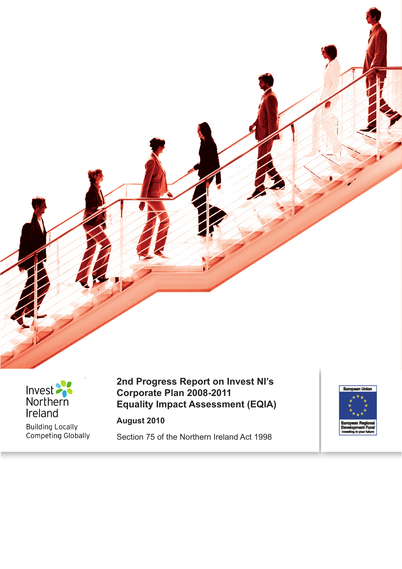



Building Locally<br>Competing Globally

## **2nd Progress Report on Invest NI's Corporate Plan 2008-2011 Equality Impact Assessment (EQIA)**

**August 2010**

Section 75 of the Northern Ireland Act 1998

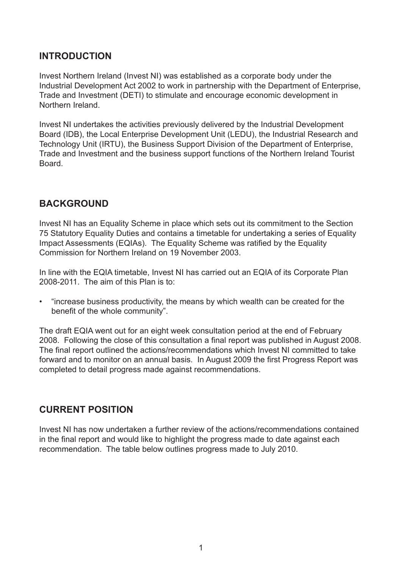## **INTRODUCTION**

Invest Northern Ireland (Invest NI) was established as a corporate body under the Industrial Development Act 2002 to work in partnership with the Department of Enterprise, Trade and Investment (DETI) to stimulate and encourage economic development in Northern Ireland.

Invest NI undertakes the activities previously delivered by the Industrial Development Board (IDB), the Local Enterprise Development Unit (LEDU), the Industrial Research and Technology Unit (IRTU), the Business Support Division of the Department of Enterprise, Trade and Investment and the business support functions of the Northern Ireland Tourist **Board** 

### **BACKGROUND**

Invest NI has an Equality Scheme in place which sets out its commitment to the Section 75 Statutory Equality Duties and contains a timetable for undertaking a series of Equality Impact Assessments (EQIAs). The Equality Scheme was ratified by the Equality Commission for Northern Ireland on 19 November 2003.

In line with the EQIA timetable, Invest NI has carried out an EQIA of its Corporate Plan 2008-2011. The aim of this Plan is to:

• "increase business productivity, the means by which wealth can be created for the benefit of the whole community".

The draft EQIA went out for an eight week consultation period at the end of February 2008. Following the close of this consultation a final report was published in August 2008. The final report outlined the actions/recommendations which Invest NI committed to take forward and to monitor on an annual basis. In August 2009 the first Progress Report was completed to detail progress made against recommendations.

### **CURRENT POSITION**

Invest NI has now undertaken a further review of the actions/recommendations contained in the final report and would like to highlight the progress made to date against each recommendation. The table below outlines progress made to July 2010.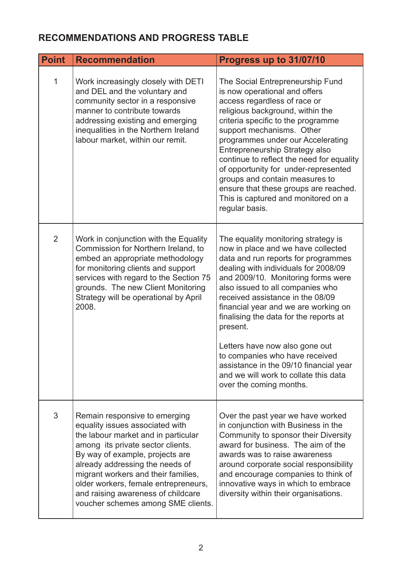# **RECOMMENDATIONS AND PROGRESS TABLE**

| <b>Point</b>   | <b>Recommendation</b>                                                                                                                                                                                                                                                                                                                                                         | Progress up to 31/07/10                                                                                                                                                                                                                                                                                                                                                                                                                                                                                                                                |
|----------------|-------------------------------------------------------------------------------------------------------------------------------------------------------------------------------------------------------------------------------------------------------------------------------------------------------------------------------------------------------------------------------|--------------------------------------------------------------------------------------------------------------------------------------------------------------------------------------------------------------------------------------------------------------------------------------------------------------------------------------------------------------------------------------------------------------------------------------------------------------------------------------------------------------------------------------------------------|
| $\mathbf{1}$   | Work increasingly closely with DETI<br>and DEL and the voluntary and<br>community sector in a responsive<br>manner to contribute towards<br>addressing existing and emerging<br>inequalities in the Northern Ireland<br>labour market, within our remit.                                                                                                                      | The Social Entrepreneurship Fund<br>is now operational and offers<br>access regardless of race or<br>religious background, within the<br>criteria specific to the programme<br>support mechanisms. Other<br>programmes under our Accelerating<br>Entrepreneurship Strategy also<br>continue to reflect the need for equality<br>of opportunity for under-represented<br>groups and contain measures to<br>ensure that these groups are reached.<br>This is captured and monitored on a<br>regular basis.                                               |
| $\overline{2}$ | Work in conjunction with the Equality<br>Commission for Northern Ireland, to<br>embed an appropriate methodology<br>for monitoring clients and support<br>services with regard to the Section 75<br>grounds. The new Client Monitoring<br>Strategy will be operational by April<br>2008.                                                                                      | The equality monitoring strategy is<br>now in place and we have collected<br>data and run reports for programmes<br>dealing with individuals for 2008/09<br>and 2009/10. Monitoring forms were<br>also issued to all companies who<br>received assistance in the 08/09<br>financial year and we are working on<br>finalising the data for the reports at<br>present.<br>Letters have now also gone out<br>to companies who have received<br>assistance in the 09/10 financial year<br>and we will work to collate this data<br>over the coming months. |
| 3              | Remain responsive to emerging<br>equality issues associated with<br>the labour market and in particular<br>among its private sector clients.<br>By way of example, projects are<br>already addressing the needs of<br>migrant workers and their families,<br>older workers, female entrepreneurs,<br>and raising awareness of childcare<br>voucher schemes among SME clients. | Over the past year we have worked<br>in conjunction with Business in the<br>Community to sponsor their Diversity<br>award for business. The aim of the<br>awards was to raise awareness<br>around corporate social responsibility<br>and encourage companies to think of<br>innovative ways in which to embrace<br>diversity within their organisations.                                                                                                                                                                                               |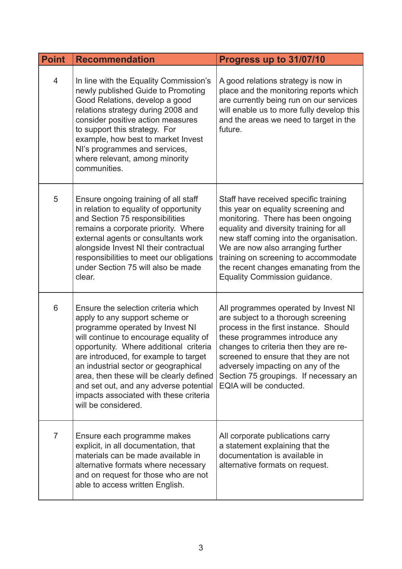| <b>Point</b>   | <b>Recommendation</b>                                                                                                                                                                                                                                                                                                                                                                                                                | Progress up to 31/07/10                                                                                                                                                                                                                                                                                                                                         |
|----------------|--------------------------------------------------------------------------------------------------------------------------------------------------------------------------------------------------------------------------------------------------------------------------------------------------------------------------------------------------------------------------------------------------------------------------------------|-----------------------------------------------------------------------------------------------------------------------------------------------------------------------------------------------------------------------------------------------------------------------------------------------------------------------------------------------------------------|
| 4              | In line with the Equality Commission's<br>newly published Guide to Promoting<br>Good Relations, develop a good<br>relations strategy during 2008 and<br>consider positive action measures<br>to support this strategy. For<br>example, how best to market Invest<br>NI's programmes and services,<br>where relevant, among minority<br>communities.                                                                                  | A good relations strategy is now in<br>place and the monitoring reports which<br>are currently being run on our services<br>will enable us to more fully develop this<br>and the areas we need to target in the<br>future.                                                                                                                                      |
| 5              | Ensure ongoing training of all staff<br>in relation to equality of opportunity<br>and Section 75 responsibilities<br>remains a corporate priority. Where<br>external agents or consultants work<br>alongside Invest NI their contractual<br>responsibilities to meet our obligations<br>under Section 75 will also be made<br>clear.                                                                                                 | Staff have received specific training<br>this year on equality screening and<br>monitoring. There has been ongoing<br>equality and diversity training for all<br>new staff coming into the organisation.<br>We are now also arranging further<br>training on screening to accommodate<br>the recent changes emanating from the<br>Equality Commission guidance. |
| 6              | Ensure the selection criteria which<br>apply to any support scheme or<br>programme operated by Invest NI<br>will continue to encourage equality of<br>opportunity. Where additional criteria<br>are introduced, for example to target<br>an industrial sector or geographical<br>area, then these will be clearly defined<br>and set out, and any adverse potential<br>impacts associated with these criteria<br>will be considered. | All programmes operated by Invest NI<br>are subject to a thorough screening<br>process in the first instance. Should<br>these programmes introduce any<br>changes to criteria then they are re-<br>screened to ensure that they are not<br>adversely impacting on any of the<br>Section 75 groupings. If necessary an<br>EQIA will be conducted.                |
| $\overline{7}$ | Ensure each programme makes<br>explicit, in all documentation, that<br>materials can be made available in<br>alternative formats where necessary<br>and on request for those who are not<br>able to access written English.                                                                                                                                                                                                          | All corporate publications carry<br>a statement explaining that the<br>documentation is available in<br>alternative formats on request.                                                                                                                                                                                                                         |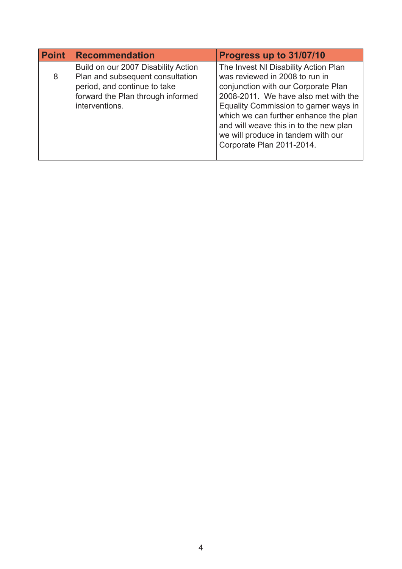| <b>Point</b> | <b>Recommendation</b>                                                                                                                                          | Progress up to 31/07/10                                                                                                                                                                                                                                                                                                                              |
|--------------|----------------------------------------------------------------------------------------------------------------------------------------------------------------|------------------------------------------------------------------------------------------------------------------------------------------------------------------------------------------------------------------------------------------------------------------------------------------------------------------------------------------------------|
| 8            | Build on our 2007 Disability Action<br>Plan and subsequent consultation<br>period, and continue to take<br>forward the Plan through informed<br>interventions. | The Invest NI Disability Action Plan<br>was reviewed in 2008 to run in<br>conjunction with our Corporate Plan<br>2008-2011. We have also met with the<br>Equality Commission to garner ways in<br>which we can further enhance the plan<br>and will weave this in to the new plan<br>we will produce in tandem with our<br>Corporate Plan 2011-2014. |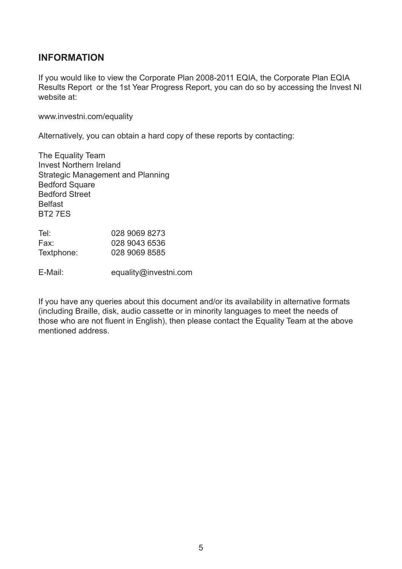#### **INFORMATION**

If you would like to view the Corporate Plan 2008-2011 EQIA, the Corporate Plan EQIA Results Report or the 1st Year Progress Report, you can do so by accessing the Invest NI website at:

www.investni.com/equality

Alternatively, you can obtain a hard copy of these reports by contacting:

The Equality Team Invest Northern Ireland Strategic Management and Planning Bedford Square Bedford Street Belfast BT2 7ES

| Tel∶       | 028 9069 8273 |
|------------|---------------|
| Fax:       | 028 9043 6536 |
| Textphone: | 028 9069 8585 |

E-Mail: equality@investni.com

If you have any queries about this document and/or its availability in alternative formats (including Braille, disk, audio cassette or in minority languages to meet the needs of those who are not fluent in English), then please contact the Equality Team at the above mentioned address.